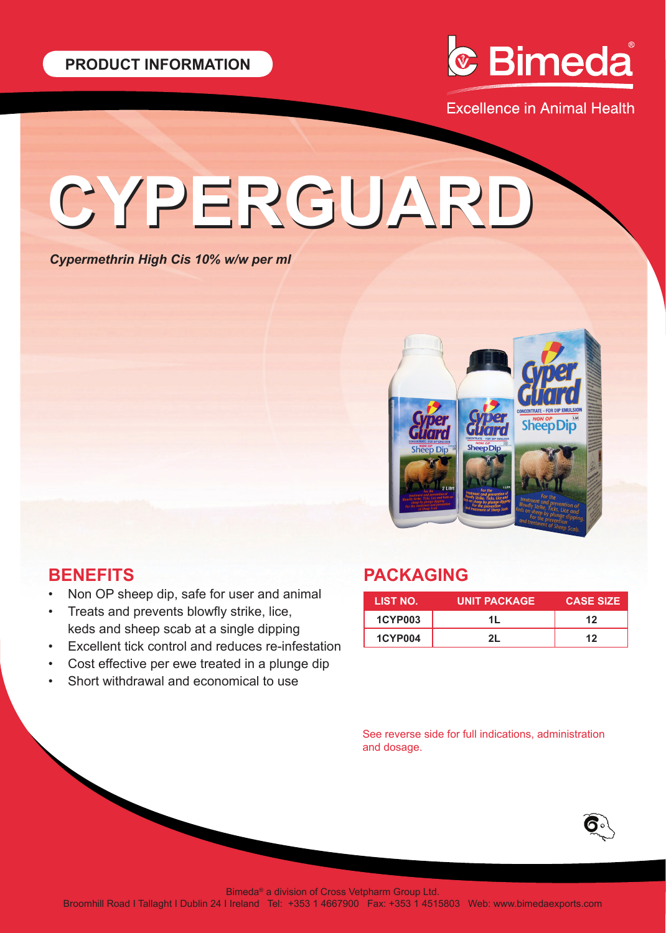

**Excellence in Animal Health** 

# **CYPERGUARD CYPERGUARD**

*Cypermethrin High Cis 10% w/w per ml*



# **BENEFITS**

- Non OP sheep dip, safe for user and animal
- Treats and prevents blowfly strike, lice, keds and sheep scab at a single dipping
- Excellent tick control and reduces re-infestation
- Cost effective per ewe treated in a plunge dip
- Short withdrawal and economical to use

# **PACKAGING**

| LIST NO.       | <b>UNIT PACKAGE</b> | <b>CASE SIZE</b> |
|----------------|---------------------|------------------|
| <b>1CYP003</b> | 11                  | 12               |
| <b>1CYP004</b> | וכ                  | 12               |

See reverse side for full indications, administration and dosage.



Bimeda® a division of Cross Vetpharm Group Ltd.

Broomhill Road I Tallaght I Dublin 24 I Ireland Tel: +353 1 4667900 Fax: +353 1 4515803 Web: www.bimedaexports.com